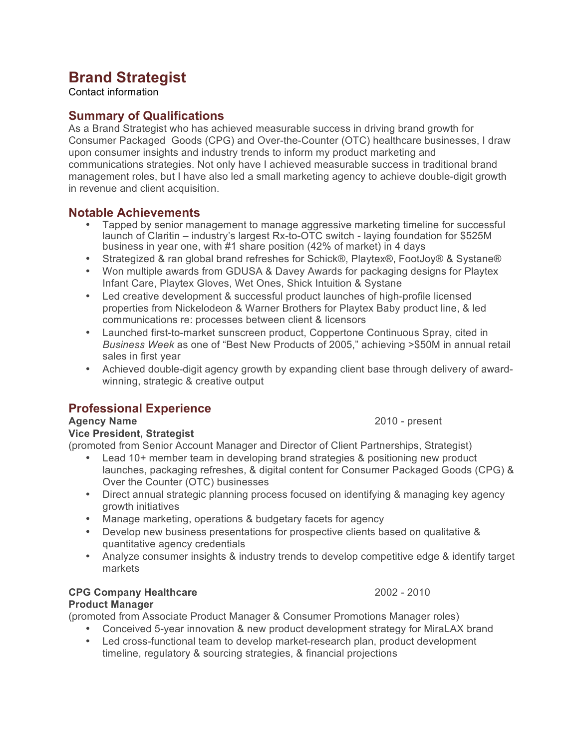# **Brand Strategist**

Contact information

# **Summary of Qualifications**

As a Brand Strategist who has achieved measurable success in driving brand growth for Consumer Packaged Goods (CPG) and Over-the-Counter (OTC) healthcare businesses, I draw upon consumer insights and industry trends to inform my product marketing and communications strategies. Not only have I achieved measurable success in traditional brand management roles, but I have also led a small marketing agency to achieve double-digit growth in revenue and client acquisition.

### **Notable Achievements**

- Tapped by senior management to manage aggressive marketing timeline for successful launch of Claritin – industry's largest Rx-to-OTC switch - laying foundation for \$525M business in year one, with #1 share position (42% of market) in 4 days
- Strategized & ran global brand refreshes for Schick®, Playtex®, FootJoy® & Systane®
- Won multiple awards from GDUSA & Davey Awards for packaging designs for Playtex Infant Care, Playtex Gloves, Wet Ones, Shick Intuition & Systane
- Led creative development & successful product launches of high-profile licensed properties from Nickelodeon & Warner Brothers for Playtex Baby product line, & led communications re: processes between client & licensors
- Launched first-to-market sunscreen product, Coppertone Continuous Spray, cited in *Business Week* as one of "Best New Products of 2005," achieving >\$50M in annual retail sales in first year
- Achieved double-digit agency growth by expanding client base through delivery of awardwinning, strategic & creative output

# **Professional Experience**

### **Agency Name** 2010 - present

#### **Vice President, Strategist**

(promoted from Senior Account Manager and Director of Client Partnerships, Strategist)

- Lead 10+ member team in developing brand strategies & positioning new product launches, packaging refreshes, & digital content for Consumer Packaged Goods (CPG) & Over the Counter (OTC) businesses
- Direct annual strategic planning process focused on identifying & managing key agency growth initiatives
- Manage marketing, operations & budgetary facets for agency
- Develop new business presentations for prospective clients based on qualitative & quantitative agency credentials
- Analyze consumer insights & industry trends to develop competitive edge & identify target markets

# **CPG Company Healthcare** 2002 - 2010

#### **Product Manager**

(promoted from Associate Product Manager & Consumer Promotions Manager roles)

- Conceived 5-year innovation & new product development strategy for MiraLAX brand
- Led cross-functional team to develop market-research plan, product development timeline, regulatory & sourcing strategies, & financial projections